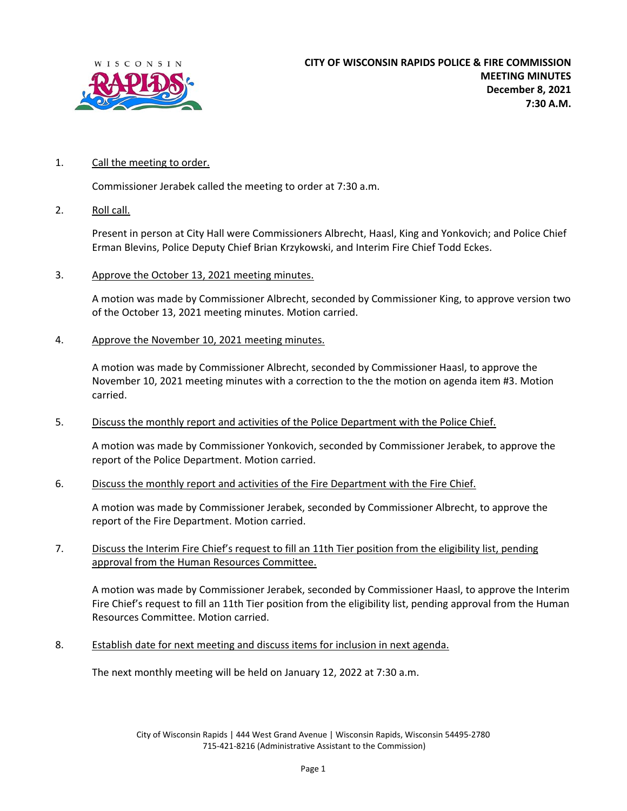

## 1. Call the meeting to order.

Commissioner Jerabek called the meeting to order at 7:30 a.m.

2. Roll call.

 Present in person at City Hall were Commissioners Albrecht, Haasl, King and Yonkovich; and Police Chief Erman Blevins, Police Deputy Chief Brian Krzykowski, and Interim Fire Chief Todd Eckes.

3. Approve the October 13, 2021 meeting minutes.

 A motion was made by Commissioner Albrecht, seconded by Commissioner King, to approve version two of the October 13, 2021 meeting minutes. Motion carried.

4. Approve the November 10, 2021 meeting minutes.

 A motion was made by Commissioner Albrecht, seconded by Commissioner Haasl, to approve the November 10, 2021 meeting minutes with a correction to the the motion on agenda item #3. Motion carried.

5. Discuss the monthly report and activities of the Police Department with the Police Chief.

 A motion was made by Commissioner Yonkovich, seconded by Commissioner Jerabek, to approve the report of the Police Department. Motion carried.

6. Discuss the monthly report and activities of the Fire Department with the Fire Chief.

 A motion was made by Commissioner Jerabek, seconded by Commissioner Albrecht, to approve the report of the Fire Department. Motion carried.

7. Discuss the Interim Fire Chief's request to fill an 11th Tier position from the eligibility list, pending approval from the Human Resources Committee.

 A motion was made by Commissioner Jerabek, seconded by Commissioner Haasl, to approve the Interim Fire Chief's request to fill an 11th Tier position from the eligibility list, pending approval from the Human Resources Committee. Motion carried.

8. Establish date for next meeting and discuss items for inclusion in next agenda.

The next monthly meeting will be held on January 12, 2022 at 7:30 a.m.